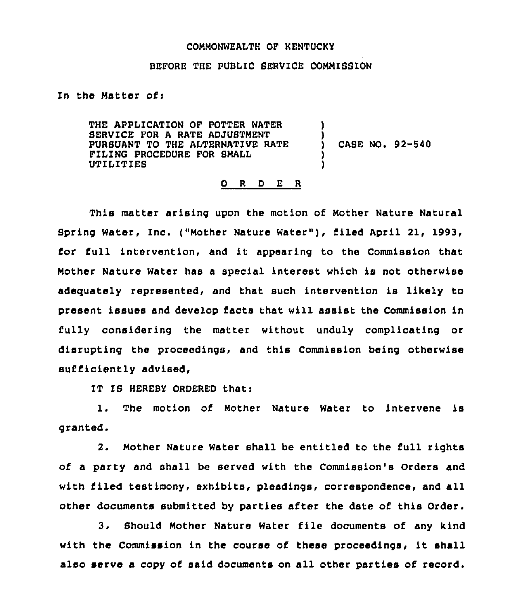## COMMONWEALTH OF KENTUCKY

## BEFORE THE PUBLIC SERVICE COMMISBION

In the Matter of:

THE APPLICATION OF POTTER WATER SERVICE FOR A RATE ADJUSTMENT PURSUANT TO THE ALTERNATIVE RATE FILING PROCEDURE FOR BMALL UTILIT'IEB ) ) ) CABE NO. 92-540 ) )

## 0 <sup>R</sup> <sup>D</sup> E <sup>R</sup>

This matter arising upon the motion of Mother Nature Natural Spring Water, Inc. ("Mother Nature Water" ), filed April 21, 1993, for full intervention, and it appearing to the Commission that Mother Nature Water has a special interest which is not otherwise adequately represented, and that such intervention is likely to present issues and develop facts that will assist the Commission in fully considering the matter without unduly complicating or disrupting the proceedings, and this Commission being otherwise sufficiently advised,

IT IS HEREBY ORDERED that:

1. The motion of Mother Nature Water to intervene is granted.

2. Mother Nature Water shall be entitled to the full rights of a party and shall be served with the Commission's Orders and with filed testimony, exhibits, pleadings, correspondence, and all other documents submitted by parties after the date of this Order.

3. Should Mother Nature Water file documents of any kind with the Commission in the course of these proceedings, it shall also serve a copy of said documents on all other parties of record.